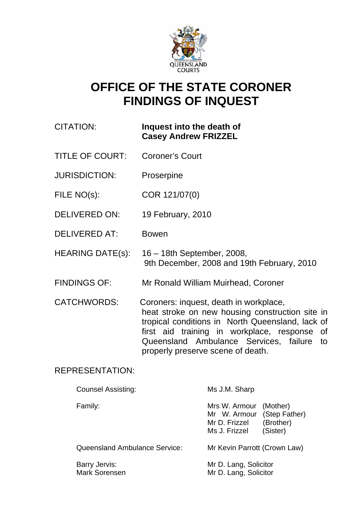

# **OFFICE OF THE STATE CORONER FINDINGS OF INQUEST**

| CITATION: | Inquest into the death of   |
|-----------|-----------------------------|
|           | <b>Casey Andrew FRIZZEL</b> |

- TITLE OF COURT: Coroner's Court
- JURISDICTION: Proserpine
- FILE NO(s): COR 121/07(0)
- DELIVERED ON: 19 February, 2010
- DELIVERED AT: Bowen
- HEARING DATE(s): 16 18th September, 2008, 9th December, 2008 and 19th February, 2010
- FINDINGS OF: Mr Ronald William Muirhead, Coroner
- CATCHWORDS: Coroners: inquest, death in workplace, heat stroke on new housing construction site in tropical conditions in North Queensland, lack of first aid training in workplace, response of Queensland Ambulance Services, failure to properly preserve scene of death.

# REPRESENTATION:

| <b>Counsel Assisting:</b>            | Ms J.M. Sharp                                                   |                                                    |
|--------------------------------------|-----------------------------------------------------------------|----------------------------------------------------|
| Family:                              | Mrs W. Armour<br>Mr W. Armour<br>Mr D. Frizzel<br>Ms J. Frizzel | (Mother)<br>(Step Father)<br>(Brother)<br>(Sister) |
| <b>Queensland Ambulance Service:</b> | Mr Kevin Parrott (Crown Law)                                    |                                                    |
| Barry Jervis:                        | Mr D. Lang, Solicitor                                           |                                                    |

Mark Sorensen Mr D. Lang, Solicitor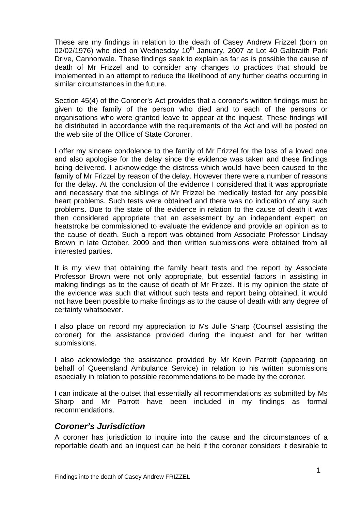These are my findings in relation to the death of Casey Andrew Frizzel (born on 02/02/1976) who died on Wednesday  $10<sup>th</sup>$  January, 2007 at Lot 40 Galbraith Park Drive, Cannonvale. These findings seek to explain as far as is possible the cause of death of Mr Frizzel and to consider any changes to practices that should be implemented in an attempt to reduce the likelihood of any further deaths occurring in similar circumstances in the future.

Section 45(4) of the Coroner's Act provides that a coroner's written findings must be given to the family of the person who died and to each of the persons or organisations who were granted leave to appear at the inquest. These findings will be distributed in accordance with the requirements of the Act and will be posted on the web site of the Office of State Coroner.

I offer my sincere condolence to the family of Mr Frizzel for the loss of a loved one and also apologise for the delay since the evidence was taken and these findings being delivered. I acknowledge the distress which would have been caused to the family of Mr Frizzel by reason of the delay. However there were a number of reasons for the delay. At the conclusion of the evidence I considered that it was appropriate and necessary that the siblings of Mr Frizzel be medically tested for any possible heart problems. Such tests were obtained and there was no indication of any such problems. Due to the state of the evidence in relation to the cause of death it was then considered appropriate that an assessment by an independent expert on heatstroke be commissioned to evaluate the evidence and provide an opinion as to the cause of death. Such a report was obtained from Associate Professor Lindsay Brown in late October, 2009 and then written submissions were obtained from all interested parties.

It is my view that obtaining the family heart tests and the report by Associate Professor Brown were not only appropriate, but essential factors in assisting in making findings as to the cause of death of Mr Frizzel. It is my opinion the state of the evidence was such that without such tests and report being obtained, it would not have been possible to make findings as to the cause of death with any degree of certainty whatsoever.

I also place on record my appreciation to Ms Julie Sharp (Counsel assisting the coroner) for the assistance provided during the inquest and for her written submissions.

I also acknowledge the assistance provided by Mr Kevin Parrott (appearing on behalf of Queensland Ambulance Service) in relation to his written submissions especially in relation to possible recommendations to be made by the coroner.

I can indicate at the outset that essentially all recommendations as submitted by Ms Sharp and Mr Parrott have been included in my findings as formal recommendations.

# *Coroner's Jurisdiction*

A coroner has jurisdiction to inquire into the cause and the circumstances of a reportable death and an inquest can be held if the coroner considers it desirable to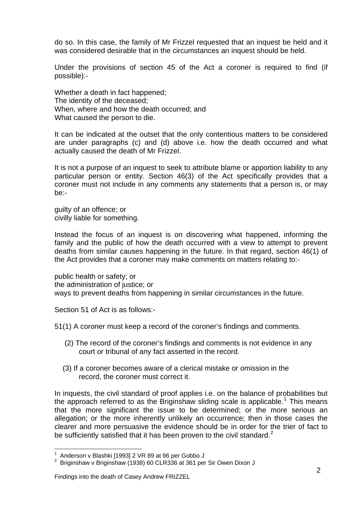do so. In this case, the family of Mr Frizzel requested that an inquest be held and it was considered desirable that in the circumstances an inquest should be held.

Under the provisions of section 45 of the Act a coroner is required to find (if possible):-

Whether a death in fact happened; The identity of the deceased; When, where and how the death occurred; and What caused the person to die.

It can be indicated at the outset that the only contentious matters to be considered are under paragraphs (c) and (d) above i.e. how the death occurred and what actually caused the death of Mr Frizzel.

It is not a purpose of an inquest to seek to attribute blame or apportion liability to any particular person or entity. Section 46(3) of the Act specifically provides that a coroner must not include in any comments any statements that a person is, or may be:-

guilty of an offence; or civilly liable for something.

Instead the focus of an inquest is on discovering what happened, informing the family and the public of how the death occurred with a view to attempt to prevent deaths from similar causes happening in the future. In that regard, section 46(1) of the Act provides that a coroner may make comments on matters relating to:-

public health or safety; or the administration of justice; or ways to prevent deaths from happening in similar circumstances in the future.

Section 51 of Act is as follows:-

51(1) A coroner must keep a record of the coroner's findings and comments.

- (2) The record of the coroner's findings and comments is not evidence in any court or tribunal of any fact asserted in the record.
- (3) If a coroner becomes aware of a clerical mistake or omission in the record, the coroner must correct it.

In inquests, the civil standard of proof applies i.e. on the balance of probabilities but the approach referred to as the Briginshaw sliding scale is applicable.<sup>[1](#page-2-0)</sup> This means that the more significant the issue to be determined; or the more serious an allegation; or the more inherently unlikely an occurrence; then in those cases the clearer and more persuasive the evidence should be in order for the trier of fact to be sufficiently satisfied that it has been proven to the civil standard. $2^2$  $2^2$ 

 1 Anderson v Blashki [1993] 2 VR 89 at 96 per Gobbo J

<span id="page-2-1"></span><span id="page-2-0"></span> $2$  Briginshaw v Briginshaw (1938) 60 CLR336 at 361 per Sir Owen Dixon J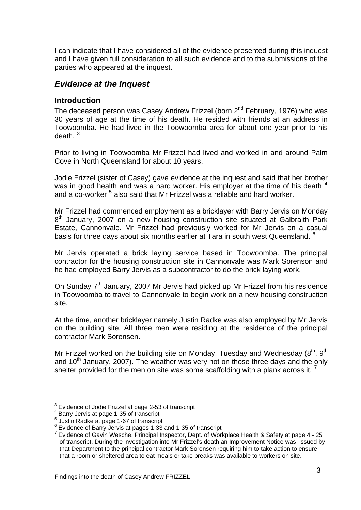I can indicate that I have considered all of the evidence presented during this inquest and I have given full consideration to all such evidence and to the submissions of the parties who appeared at the inquest.

# *Evidence at the Inquest*

## **Introduction**

The deceased person was Casey Andrew Frizzel (born 2<sup>nd</sup> February, 1976) who was 30 years of age at the time of his death. He resided with friends at an address in Toowoomba. He had lived in the Toowoomba area for about one year prior to his death. [3](#page-3-0)

Prior to living in Toowoomba Mr Frizzel had lived and worked in and around Palm Cove in North Queensland for about 10 years.

Jodie Frizzel (sister of Casey) gave evidence at the inquest and said that her brother was in good health and was a hard worker. His employer at the time of his death  $4$ and a co-worker <sup>[5](#page-3-2)</sup> also said that Mr Frizzel was a reliable and hard worker.

Mr Frizzel had commenced employment as a bricklayer with Barry Jervis on Monday 8<sup>th</sup> January, 2007 on a new housing construction site situated at Galbraith Park Estate, Cannonvale. Mr Frizzel had previously worked for Mr Jervis on a casual basis for three days about six months earlier at Tara in south west Queensland. <sup>[6](#page-3-3)</sup>

Mr Jervis operated a brick laying service based in Toowoomba. The principal contractor for the housing construction site in Cannonvale was Mark Sorenson and he had employed Barry Jervis as a subcontractor to do the brick laying work.

On Sunday 7<sup>th</sup> January, 2007 Mr Jervis had picked up Mr Frizzel from his residence in Toowoomba to travel to Cannonvale to begin work on a new housing construction site.

At the time, another bricklayer namely Justin Radke was also employed by Mr Jervis on the building site. All three men were residing at the residence of the principal contractor Mark Sorensen.

Mr Frizzel worked on the building site on Monday, Tuesday and Wednesday  $(8<sup>th</sup>, 9<sup>th</sup>)$ and  $10<sup>th</sup>$  January, 2007). The weather was very hot on those three days and the only shelter provided for the men on site was some scaffolding with a plank across it.  $^7$  $^7$ 

<span id="page-3-0"></span> $3$  Evidence of Jodie Frizzel at page 2-53 of transcript

<span id="page-3-1"></span><sup>4</sup> Barry Jervis at page 1-35 of transcript

<sup>5</sup> Justin Radke at page 1-67 of transcript

<span id="page-3-3"></span><span id="page-3-2"></span><sup>&</sup>lt;sup>6</sup> Evidence of Barry Jervis at pages 1-33 and 1-35 of transcript  $\frac{7}{2}$  Evidence of Covin Wessex Principal Increator Dant of Werk

<span id="page-3-4"></span>Evidence of Gavin Wesche, Principal Inspector, Dept. of Workplace Health & Safety at page 4 - 25 of transcript. During the investigation into Mr Frizzel's death an Improvement Notice was issued by that Department to the principal contractor Mark Sorensen requiring him to take action to ensure that a room or sheltered area to eat meals or take breaks was available to workers on site.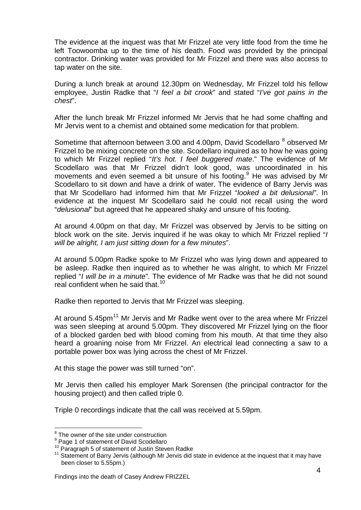The evidence at the inquest was that Mr Frizzel ate very little food from the time he left Toowoomba up to the time of his death. Food was provided by the principal contractor. Drinking water was provided for Mr Frizzel and there was also access to tap water on the site.

During a lunch break at around 12.30pm on Wednesday, Mr Frizzel told his fellow employee, Justin Radke that "*I feel a bit crook*" and stated "*I've got pains in the chest*".

After the lunch break Mr Frizzel informed Mr Jervis that he had some chaffing and Mr Jervis went to a chemist and obtained some medication for that problem.

Sometime that afternoon between 3.00 and 4.00pm, David Scodellaro <sup>[8](#page-4-0)</sup> observed Mr Frizzel to be mixing concrete on the site. Scodellaro inquired as to how he was going to which Mr Frizzel replied "*It's hot. I feel buggered mate*." The evidence of Mr Scodellaro was that Mr Frizzel didn't look good, was uncoordinated in his movements and even seemed a bit unsure of his footing.<sup>[9](#page-4-1)</sup> He was advised by Mr Scodellaro to sit down and have a drink of water. The evidence of Barry Jervis was that Mr Scodellaro had informed him that Mr Frizzel "*looked a bit delusional"*. In evidence at the inquest Mr Scodellaro said he could not recall using the word "*delusional*" but agreed that he appeared shaky and unsure of his footing.

At around 4.00pm on that day, Mr Frizzel was observed by Jervis to be sitting on block work on the site. Jervis inquired if he was okay to which Mr Frizzel replied "*I will be alright, I am just sitting down for a few minutes*".

At around 5.00pm Radke spoke to Mr Frizzel who was lying down and appeared to be asleep. Radke then inquired as to whether he was alright, to which Mr Frizzel replied "*I will be in a minute*". The evidence of Mr Radke was that he did not sound real confident when he said that.<sup>[10](#page-4-2)</sup>

Radke then reported to Jervis that Mr Frizzel was sleeping.

At around  $5.45$ pm<sup>[11](#page-4-3)</sup> Mr Jervis and Mr Radke went over to the area where Mr Frizzel was seen sleeping at around 5.00pm. They discovered Mr Frizzel lying on the floor of a blocked garden bed with blood coming from his mouth. At that time they also heard a groaning noise from Mr Frizzel. An electrical lead connecting a saw to a portable power box was lying across the chest of Mr Frizzel.

At this stage the power was still turned "on".

Mr Jervis then called his employer Mark Sorensen (the principal contractor for the housing project) and then called triple 0.

Triple 0 recordings indicate that the call was received at 5.59pm.

<span id="page-4-0"></span><sup>&</sup>lt;sup>8</sup> The owner of the site under construction

<span id="page-4-1"></span><sup>&</sup>lt;sup>9</sup> Page 1 of statement of David Scodellaro

<sup>&</sup>lt;sup>10</sup> Paragraph 5 of statement of Justin Steven Radke

<span id="page-4-3"></span><span id="page-4-2"></span><sup>&</sup>lt;sup>11</sup> Statement of Barry Jervis (although Mr Jervis did state in evidence at the inquest that it may have been closer to 5.55pm.)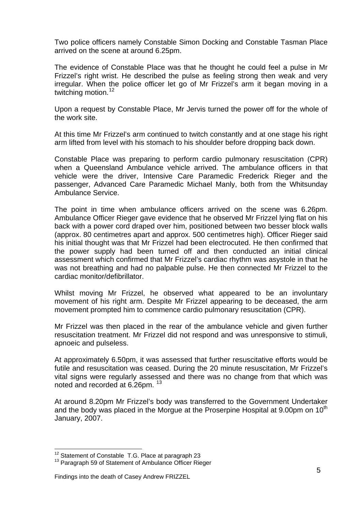Two police officers namely Constable Simon Docking and Constable Tasman Place arrived on the scene at around 6.25pm.

The evidence of Constable Place was that he thought he could feel a pulse in Mr Frizzel's right wrist. He described the pulse as feeling strong then weak and very irregular. When the police officer let go of Mr Frizzel's arm it began moving in a twitching motion.<sup>[12](#page-5-0)</sup>

Upon a request by Constable Place, Mr Jervis turned the power off for the whole of the work site.

At this time Mr Frizzel's arm continued to twitch constantly and at one stage his right arm lifted from level with his stomach to his shoulder before dropping back down.

Constable Place was preparing to perform cardio pulmonary resuscitation (CPR) when a Queensland Ambulance vehicle arrived. The ambulance officers in that vehicle were the driver, Intensive Care Paramedic Frederick Rieger and the passenger, Advanced Care Paramedic Michael Manly, both from the Whitsunday Ambulance Service.

The point in time when ambulance officers arrived on the scene was 6.26pm. Ambulance Officer Rieger gave evidence that he observed Mr Frizzel lying flat on his back with a power cord draped over him, positioned between two besser block walls (approx. 80 centimetres apart and approx. 500 centimetres high). Officer Rieger said his initial thought was that Mr Frizzel had been electrocuted. He then confirmed that the power supply had been turned off and then conducted an initial clinical assessment which confirmed that Mr Frizzel's cardiac rhythm was asystole in that he was not breathing and had no palpable pulse. He then connected Mr Frizzel to the cardiac monitor/defibrillator.

Whilst moving Mr Frizzel, he observed what appeared to be an involuntary movement of his right arm. Despite Mr Frizzel appearing to be deceased, the arm movement prompted him to commence cardio pulmonary resuscitation (CPR).

Mr Frizzel was then placed in the rear of the ambulance vehicle and given further resuscitation treatment. Mr Frizzel did not respond and was unresponsive to stimuli, apnoeic and pulseless.

At approximately 6.50pm, it was assessed that further resuscitative efforts would be futile and resuscitation was ceased. During the 20 minute resuscitation, Mr Frizzel's vital signs were regularly assessed and there was no change from that which was noted and recorded at 6.26pm. <sup>[13](#page-5-1)</sup>

At around 8.20pm Mr Frizzel's body was transferred to the Government Undertaker and the body was placed in the Morgue at the Proserpine Hospital at 9.00pm on  $10<sup>th</sup>$ January, 2007.

<span id="page-5-0"></span><sup>&</sup>lt;sup>12</sup> Statement of Constable T.G. Place at paragraph 23

<span id="page-5-1"></span><sup>&</sup>lt;sup>13</sup> Paragraph 59 of Statement of Ambulance Officer Rieger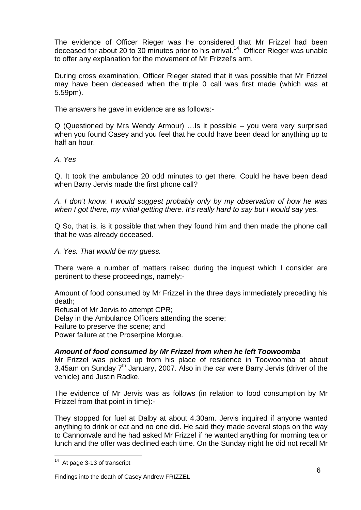The evidence of Officer Rieger was he considered that Mr Frizzel had been deceased for about 20 to 30 minutes prior to his arrival.<sup>[14](#page-6-0)</sup> Officer Rieger was unable to offer any explanation for the movement of Mr Frizzel's arm.

During cross examination, Officer Rieger stated that it was possible that Mr Frizzel may have been deceased when the triple 0 call was first made (which was at 5.59pm).

The answers he gave in evidence are as follows:-

Q (Questioned by Mrs Wendy Armour) …Is it possible – you were very surprised when you found Casey and you feel that he could have been dead for anything up to half an hour.

*A. Yes* 

Q. It took the ambulance 20 odd minutes to get there. Could he have been dead when Barry Jervis made the first phone call?

*A. I don't know. I would suggest probably only by my observation of how he was when I got there, my initial getting there. It's really hard to say but I would say yes.* 

Q So, that is, is it possible that when they found him and then made the phone call that he was already deceased.

*A. Yes. That would be my guess.* 

There were a number of matters raised during the inquest which I consider are pertinent to these proceedings, namely:-

Amount of food consumed by Mr Frizzel in the three days immediately preceding his death;

Refusal of Mr Jervis to attempt CPR;

Delay in the Ambulance Officers attending the scene;

Failure to preserve the scene; and

Power failure at the Proserpine Morgue.

## *Amount of food consumed by Mr Frizzel from when he left Toowoomba*

Mr Frizzel was picked up from his place of residence in Toowoomba at about 3.45am on Sunday 7<sup>th</sup> January, 2007. Also in the car were Barry Jervis (driver of the vehicle) and Justin Radke.

The evidence of Mr Jervis was as follows (in relation to food consumption by Mr Frizzel from that point in time):-

They stopped for fuel at Dalby at about 4.30am. Jervis inquired if anyone wanted anything to drink or eat and no one did. He said they made several stops on the way to Cannonvale and he had asked Mr Frizzel if he wanted anything for morning tea or lunch and the offer was declined each time. On the Sunday night he did not recall Mr

<span id="page-6-0"></span><sup>&</sup>lt;sup>14</sup> At page 3-13 of transcript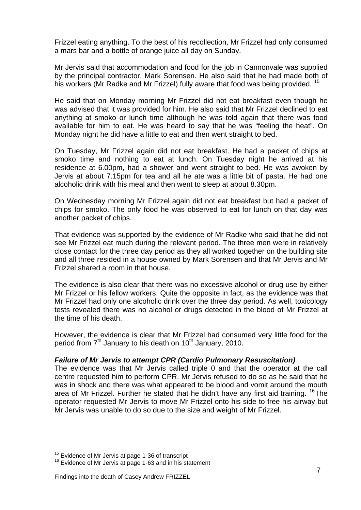Frizzel eating anything. To the best of his recollection, Mr Frizzel had only consumed a mars bar and a bottle of orange juice all day on Sunday.

Mr Jervis said that accommodation and food for the job in Cannonvale was supplied by the principal contractor, Mark Sorensen. He also said that he had made both of his workers (Mr Radke and Mr Frizzel) fully aware that food was being provided. <sup>[15](#page-7-0)</sup>

He said that on Monday morning Mr Frizzel did not eat breakfast even though he was advised that it was provided for him. He also said that Mr Frizzel declined to eat anything at smoko or lunch time although he was told again that there was food available for him to eat. He was heard to say that he was "feeling the heat". On Monday night he did have a little to eat and then went straight to bed.

On Tuesday, Mr Frizzel again did not eat breakfast. He had a packet of chips at smoko time and nothing to eat at lunch. On Tuesday night he arrived at his residence at 6.00pm, had a shower and went straight to bed. He was awoken by Jervis at about 7.15pm for tea and all he ate was a little bit of pasta. He had one alcoholic drink with his meal and then went to sleep at about 8.30pm.

On Wednesday morning Mr Frizzel again did not eat breakfast but had a packet of chips for smoko. The only food he was observed to eat for lunch on that day was another packet of chips.

That evidence was supported by the evidence of Mr Radke who said that he did not see Mr Frizzel eat much during the relevant period. The three men were in relatively close contact for the three day period as they all worked together on the building site and all three resided in a house owned by Mark Sorensen and that Mr Jervis and Mr Frizzel shared a room in that house.

The evidence is also clear that there was no excessive alcohol or drug use by either Mr Frizzel or his fellow workers. Quite the opposite in fact, as the evidence was that Mr Frizzel had only one alcoholic drink over the three day period. As well, toxicology tests revealed there was no alcohol or drugs detected in the blood of Mr Frizzel at the time of his death.

However, the evidence is clear that Mr Frizzel had consumed very little food for the period from  $7<sup>th</sup>$  January to his death on 10<sup>th</sup> January, 2010.

#### *Failure of Mr Jervis to attempt CPR (Cardio Pulmonary Resuscitation)*

The evidence was that Mr Jervis called triple 0 and that the operator at the call centre requested him to perform CPR. Mr Jervis refused to do so as he said that he was in shock and there was what appeared to be blood and vomit around the mouth area of Mr Frizzel. Further he stated that he didn't have any first aid training. <sup>[16](#page-7-1)</sup>The operator requested Mr Jervis to move Mr Frizzel onto his side to free his airway but Mr Jervis was unable to do so due to the size and weight of Mr Frizzel.

<sup>&</sup>lt;sup>15</sup> Evidence of Mr Jervis at page 1-36 of transcript

<span id="page-7-1"></span><span id="page-7-0"></span> $16$  Evidence of Mr Jervis at page 1-63 and in his statement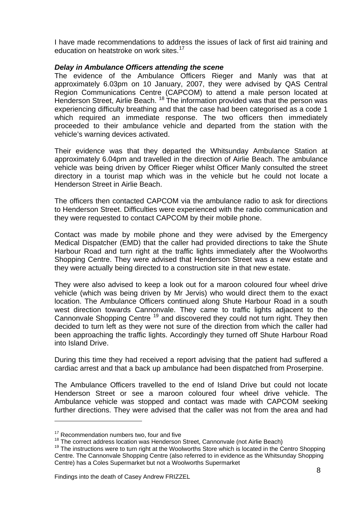I have made recommendations to address the issues of lack of first aid training and education on heatstroke on work sites.<sup>[17](#page-8-0)</sup>

#### *Delay in Ambulance Officers attending the scene*

The evidence of the Ambulance Officers Rieger and Manly was that at approximately 6.03pm on 10 January, 2007, they were advised by QAS Central Region Communications Centre (CAPCOM) to attend a male person located at Henderson Street, Airlie Beach.<sup>[18](#page-8-1)</sup> The information provided was that the person was experiencing difficulty breathing and that the case had been categorised as a code 1 which required an immediate response. The two officers then immediately proceeded to their ambulance vehicle and departed from the station with the vehicle's warning devices activated.

Their evidence was that they departed the Whitsunday Ambulance Station at approximately 6.04pm and travelled in the direction of Airlie Beach. The ambulance vehicle was being driven by Officer Rieger whilst Officer Manly consulted the street directory in a tourist map which was in the vehicle but he could not locate a Henderson Street in Airlie Beach.

The officers then contacted CAPCOM via the ambulance radio to ask for directions to Henderson Street. Difficulties were experienced with the radio communication and they were requested to contact CAPCOM by their mobile phone.

Contact was made by mobile phone and they were advised by the Emergency Medical Dispatcher (EMD) that the caller had provided directions to take the Shute Harbour Road and turn right at the traffic lights immediately after the Woolworths Shopping Centre. They were advised that Henderson Street was a new estate and they were actually being directed to a construction site in that new estate.

They were also advised to keep a look out for a maroon coloured four wheel drive vehicle (which was being driven by Mr Jervis) who would direct them to the exact location. The Ambulance Officers continued along Shute Harbour Road in a south west direction towards Cannonvale. They came to traffic lights adjacent to the Cannonvale Shopping Centre<sup>[19](#page-8-2)</sup> and discovered they could not turn right. They then decided to turn left as they were not sure of the direction from which the caller had been approaching the traffic lights. Accordingly they turned off Shute Harbour Road into Island Drive.

During this time they had received a report advising that the patient had suffered a cardiac arrest and that a back up ambulance had been dispatched from Proserpine.

The Ambulance Officers travelled to the end of Island Drive but could not locate Henderson Street or see a maroon coloured four wheel drive vehicle. The Ambulance vehicle was stopped and contact was made with CAPCOM seeking further directions. They were advised that the caller was not from the area and had

<span id="page-8-1"></span><span id="page-8-0"></span> $17$  Recommendation numbers two, four and five<br> $18$  The correct address location was Henderson Street, Cannonvale (not Airlie Beach)

<span id="page-8-2"></span> $19$  The instructions were to turn right at the Woolworths Store which is located in the Centro Shopping Centre. The Cannonvale Shopping Centre (also referred to in evidence as the Whitsunday Shopping Centre) has a Coles Supermarket but not a Woolworths Supermarket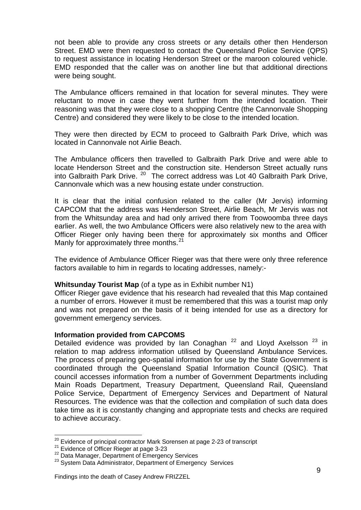not been able to provide any cross streets or any details other then Henderson Street. EMD were then requested to contact the Queensland Police Service (QPS) to request assistance in locating Henderson Street or the maroon coloured vehicle. EMD responded that the caller was on another line but that additional directions were being sought.

The Ambulance officers remained in that location for several minutes. They were reluctant to move in case they went further from the intended location. Their reasoning was that they were close to a shopping Centre (the Cannonvale Shopping Centre) and considered they were likely to be close to the intended location.

They were then directed by ECM to proceed to Galbraith Park Drive, which was located in Cannonvale not Airlie Beach.

The Ambulance officers then travelled to Galbraith Park Drive and were able to locate Henderson Street and the construction site. Henderson Street actually runs into Galbraith Park Drive. <sup>[20](#page-9-0)</sup> The correct address was Lot 40 Galbraith Park Drive, Cannonvale which was a new housing estate under construction.

It is clear that the initial confusion related to the caller (Mr Jervis) informing CAPCOM that the address was Henderson Street, Airlie Beach, Mr Jervis was not from the Whitsunday area and had only arrived there from Toowoomba three days earlier. As well, the two Ambulance Officers were also relatively new to the area with Officer Rieger only having been there for approximately six months and Officer Manly for approximately three months.<sup>[21](#page-9-1)</sup>

The evidence of Ambulance Officer Rieger was that there were only three reference factors available to him in regards to locating addresses, namely:-

#### **Whitsunday Tourist Map** (of a type as in Exhibit number N1)

Officer Rieger gave evidence that his research had revealed that this Map contained a number of errors. However it must be remembered that this was a tourist map only and was not prepared on the basis of it being intended for use as a directory for government emergency services.

#### **Information provided from CAPCOMS**

Detailed evidence was provided by Ian Conaghan<sup>[22](#page-9-2)</sup> and Lloyd Axelsson<sup>[23](#page-9-3)</sup> in relation to map address information utilised by Queensland Ambulance Services. The process of preparing geo-spatial information for use by the State Government is coordinated through the Queensland Spatial Information Council (QSIC). That council accesses information from a number of Government Departments including Main Roads Department, Treasury Department, Queensland Rail, Queensland Police Service, Department of Emergency Services and Department of Natural Resources. The evidence was that the collection and compilation of such data does take time as it is constantly changing and appropriate tests and checks are required to achieve accuracy.

<sup>&</sup>lt;sup>20</sup> Evidence of principal contractor Mark Sorensen at page 2-23 of transcript<br><sup>21</sup> Evidence of Officer Rieger at page 3-23<br><sup>22</sup> Data Manager, Department of Emergency Services<br><sup>23</sup> System Data Administrator, Department of

<span id="page-9-1"></span><span id="page-9-0"></span>

<span id="page-9-3"></span><span id="page-9-2"></span>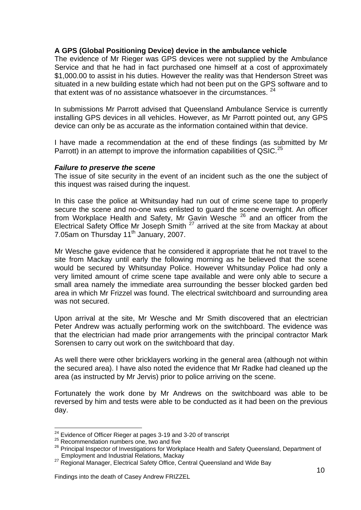## **A GPS (Global Positioning Device) device in the ambulance vehicle**

The evidence of Mr Rieger was GPS devices were not supplied by the Ambulance Service and that he had in fact purchased one himself at a cost of approximately \$1,000.00 to assist in his duties. However the reality was that Henderson Street was situated in a new building estate which had not been put on the GPS software and to that extent was of no assistance whatsoever in the circumstances. <sup>[24](#page-10-0)</sup>

In submissions Mr Parrott advised that Queensland Ambulance Service is currently installing GPS devices in all vehicles. However, as Mr Parrott pointed out, any GPS device can only be as accurate as the information contained within that device.

I have made a recommendation at the end of these findings (as submitted by Mr Parrott) in an attempt to improve the information capabilities of QSIC.<sup>[25](#page-10-1)</sup>

#### *Failure to preserve the scene*

The issue of site security in the event of an incident such as the one the subject of this inquest was raised during the inquest.

In this case the police at Whitsunday had run out of crime scene tape to properly secure the scene and no-one was enlisted to guard the scene overnight. An officer from Workplace Health and Safety, Mr Gavin Wesche [26](#page-10-2) and an officer from the Electrical Safety Office Mr Joseph Smith [27](#page-10-3) arrived at the site from Mackay at about 7.05am on Thursday 11<sup>th</sup> January, 2007.

Mr Wesche gave evidence that he considered it appropriate that he not travel to the site from Mackay until early the following morning as he believed that the scene would be secured by Whitsunday Police. However Whitsunday Police had only a very limited amount of crime scene tape available and were only able to secure a small area namely the immediate area surrounding the besser blocked garden bed area in which Mr Frizzel was found. The electrical switchboard and surrounding area was not secured.

Upon arrival at the site, Mr Wesche and Mr Smith discovered that an electrician Peter Andrew was actually performing work on the switchboard. The evidence was that the electrician had made prior arrangements with the principal contractor Mark Sorensen to carry out work on the switchboard that day.

As well there were other bricklayers working in the general area (although not within the secured area). I have also noted the evidence that Mr Radke had cleaned up the area (as instructed by Mr Jervis) prior to police arriving on the scene.

Fortunately the work done by Mr Andrews on the switchboard was able to be reversed by him and tests were able to be conducted as it had been on the previous day.

<sup>&</sup>lt;sup>24</sup> Evidence of Officer Rieger at pages 3-19 and 3-20 of transcript  $^{25}$  Recommendation numbers one, two and five

<span id="page-10-2"></span><span id="page-10-1"></span><span id="page-10-0"></span><sup>25</sup> Recommendation numbers one, two and five<br>26 Recommendation numbers one, two and five<br>26 Principal Inspector of Investigations for Workplace Health and Safety Queensland, Department of Employment and Industrial Relations, Mackay

<span id="page-10-3"></span><sup>&</sup>lt;sup>27</sup> Regional Manager, Electrical Safety Office, Central Queensland and Wide Bay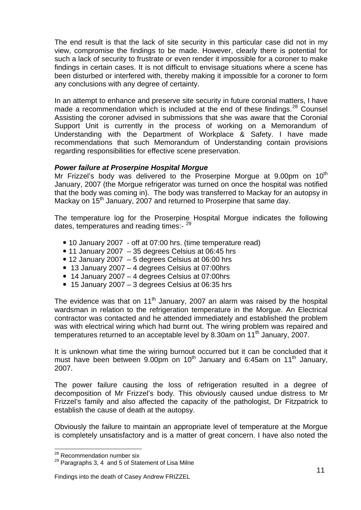The end result is that the lack of site security in this particular case did not in my view, compromise the findings to be made. However, clearly there is potential for such a lack of security to frustrate or even render it impossible for a coroner to make findings in certain cases. It is not difficult to envisage situations where a scene has been disturbed or interfered with, thereby making it impossible for a coroner to form any conclusions with any degree of certainty.

In an attempt to enhance and preserve site security in future coronial matters, I have made a recommendation which is included at the end of these findings. $^{28}$  $^{28}$  $^{28}$  Counsel Assisting the coroner advised in submissions that she was aware that the Coronial Support Unit is currently in the process of working on a Memorandum of Understanding with the Department of Workplace & Safety. I have made recommendations that such Memorandum of Understanding contain provisions regarding responsibilities for effective scene preservation.

## *Power failure at Proserpine Hospital Morgue*

Mr Frizzel's body was delivered to the Proserpine Morgue at 9.00pm on  $10<sup>th</sup>$ January, 2007 (the Morgue refrigerator was turned on once the hospital was notified that the body was coming in). The body was transferred to Mackay for an autopsy in Mackay on 15<sup>th</sup> January, 2007 and returned to Proserpine that same day.

The temperature log for the Proserpine Hospital Morgue indicates the following dates, temperatures and reading times:- <sup>[29](#page-11-1)</sup>

- 10 January 2007 off at 07:00 hrs. (time temperature read)
- $\bullet$  11 January 2007 35 degrees Celsius at 06:45 hrs
- $\bullet$  12 January 2007 5 degrees Celsius at 06:00 hrs
- 13 January 2007 4 degrees Celsius at 07:00hrs
- 14 January 2007 4 degrees Celsius at 07:00hrs
- $\bullet$  15 January 2007 3 degrees Celsius at 06:35 hrs

The evidence was that on  $11<sup>th</sup>$  January, 2007 an alarm was raised by the hospital wardsman in relation to the refrigeration temperature in the Morgue. An Electrical contractor was contacted and he attended immediately and established the problem was with electrical wiring which had burnt out. The wiring problem was repaired and temperatures returned to an acceptable level by 8.30am on 11<sup>th</sup> January, 2007.

It is unknown what time the wiring burnout occurred but it can be concluded that it must have been between  $9.00 \text{pm}$  on  $10^{\text{th}}$  January and 6:45am on  $11^{\text{th}}$  January, 2007.

The power failure causing the loss of refrigeration resulted in a degree of decomposition of Mr Frizzel's body. This obviously caused undue distress to Mr Frizzel's family and also affected the capacity of the pathologist, Dr Fitzpatrick to establish the cause of death at the autopsy.

Obviously the failure to maintain an appropriate level of temperature at the Morgue is completely unsatisfactory and is a matter of great concern. I have also noted the

<sup>&</sup>lt;sup>28</sup> Recommendation number six

<span id="page-11-1"></span><span id="page-11-0"></span> $29$  Paragraphs 3, 4 and 5 of Statement of Lisa Milne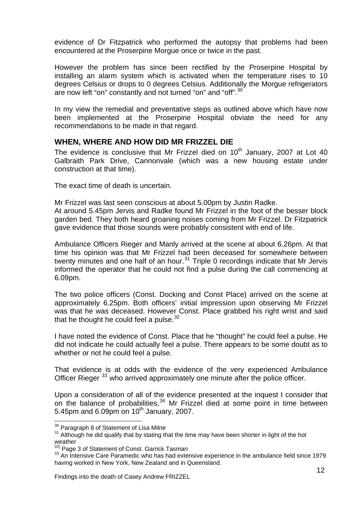evidence of Dr Fitzpatrick who performed the autopsy that problems had been encountered at the Proserpine Morgue once or twice in the past.

However the problem has since been rectified by the Proserpine Hospital by installing an alarm system which is activated when the temperature rises to 10 degrees Celsius or drops to 0 degrees Celsius. Additionally the Morgue refrigerators are now left "on" constantly and not turned "on" and "off".<sup>[30](#page-12-0)</sup>

In my view the remedial and preventative steps as outlined above which have now been implemented at the Proserpine Hospital obviate the need for any recommendations to be made in that regard.

## **WHEN, WHERE AND HOW DID MR FRIZZEL DIE**

The evidence is conclusive that Mr Frizzel died on  $10<sup>th</sup>$  January, 2007 at Lot 40 Galbraith Park Drive, Cannonvale (which was a new housing estate under construction at that time).

The exact time of death is uncertain.

Mr Frizzel was last seen conscious at about 5.00pm by Justin Radke.

At around 5.45pm Jervis and Radke found Mr Frizzel in the foot of the besser block garden bed. They both heard groaning noises coming from Mr Frizzel. Dr Fitzpatrick gave evidence that those sounds were probably consistent with end of life.

Ambulance Officers Rieger and Manly arrived at the scene at about 6.26pm. At that time his opinion was that Mr Frizzel had been deceased for somewhere between twenty minutes and one half of an hour. $31$  Triple 0 recordings indicate that Mr Jervis informed the operator that he could not find a pulse during the call commencing at 6.09pm.

The two police officers (Const. Docking and Const Place) arrived on the scene at approximately 6.25pm. Both officers' initial impression upon observing Mr Frizzel was that he was deceased. However Const. Place grabbed his right wrist and said that he thought he could feel a pulse. $32$ 

I have noted the evidence of Const. Place that he "thought" he could feel a pulse. He did not indicate he could actually feel a pulse. There appears to be some doubt as to whether or not he could feel a pulse.

That evidence is at odds with the evidence of the very experienced Ambulance Officer Rieger<sup>[33](#page-12-3)</sup> who arrived approximately one minute after the police officer.

Upon a consideration of all of the evidence presented at the inquest I consider that on the balance of probabilities,  $34$  Mr Frizzel died at some point in time between 5.45pm and 6.09pm on  $10<sup>th</sup>$  January, 2007.

<span id="page-12-0"></span><sup>&</sup>lt;sup>30</sup> Paragraph 8 of Statement of Lisa Milne

<span id="page-12-1"></span><sup>&</sup>lt;sup>31</sup> Although he did qualify that by stating that the time may have been shorter in light of the hot weather<br><sup>32]</sup> Page 3 of Statement of Const. Garrick Tasman

<span id="page-12-3"></span><span id="page-12-2"></span><sup>&</sup>lt;sup>33</sup> An Intensive Care Paramedic who has had extensive experience in the ambulance field since 1979 having worked in New York, New Zealand and in Queensland.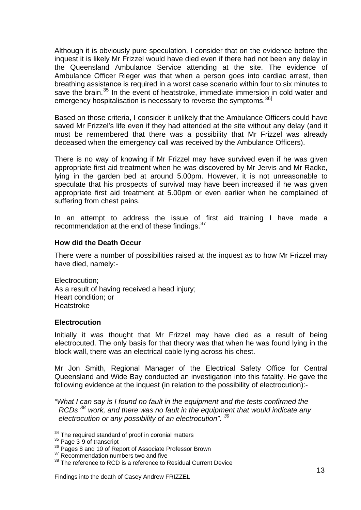Although it is obviously pure speculation, I consider that on the evidence before the inquest it is likely Mr Frizzel would have died even if there had not been any delay in the Queensland Ambulance Service attending at the site. The evidence of Ambulance Officer Rieger was that when a person goes into cardiac arrest, then breathing assistance is required in a worst case scenario within four to six minutes to save the brain.<sup>[35](#page-13-0)</sup> In the event of heatstroke, immediate immersion in cold water and emergency hospitalisation is necessary to reverse the symptoms.<sup>[36](#page-13-1)]</sup>

Based on those criteria, I consider it unlikely that the Ambulance Officers could have saved Mr Frizzel's life even if they had attended at the site without any delay (and it must be remembered that there was a possibility that Mr Frizzel was already deceased when the emergency call was received by the Ambulance Officers).

There is no way of knowing if Mr Frizzel may have survived even if he was given appropriate first aid treatment when he was discovered by Mr Jervis and Mr Radke, lying in the garden bed at around 5.00pm. However, it is not unreasonable to speculate that his prospects of survival may have been increased if he was given appropriate first aid treatment at 5.00pm or even earlier when he complained of suffering from chest pains.

In an attempt to address the issue of first aid training I have made a recommendation at the end of these findings.<sup>[37](#page-13-2)</sup>

## **How did the Death Occur**

There were a number of possibilities raised at the inquest as to how Mr Frizzel may have died, namely:-

Electrocution; As a result of having received a head injury; Heart condition; or Heatstroke

#### **Electrocution**

Initially it was thought that Mr Frizzel may have died as a result of being electrocuted. The only basis for that theory was that when he was found lying in the block wall, there was an electrical cable lying across his chest.

Mr Jon Smith, Regional Manager of the Electrical Safety Office for Central Queensland and Wide Bay conducted an investigation into this fatality. He gave the following evidence at the inquest (in relation to the possibility of electrocution):-

*"What I can say is I found no fault in the equipment and the tests confirmed the RCDs [38](#page-13-3) work, and there was no fault in the equipment that would indicate any electrocution or any possibility of an electrocution". [39](#page-13-4)*

<span id="page-13-4"></span><sup>&</sup>lt;sup>34</sup> The required standard of proof in coronial matters

<span id="page-13-0"></span><sup>&</sup>lt;sup>35</sup> Page 3-9 of transcript<br><sup>36</sup> Pages 8 and 10 of Report of Associate Professor Brown

<span id="page-13-2"></span><span id="page-13-1"></span><sup>&</sup>lt;sup>37</sup> Recommendation numbers two and five

<span id="page-13-3"></span><sup>&</sup>lt;sup>38</sup> The reference to RCD is a reference to Residual Current Device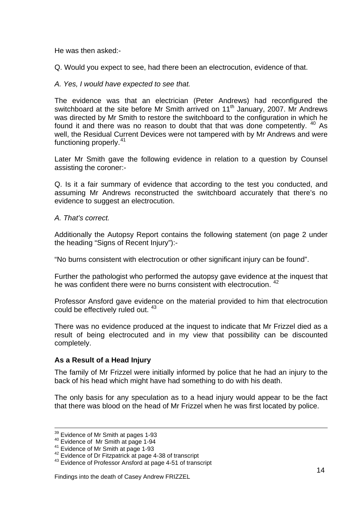He was then asked:-

Q. Would you expect to see, had there been an electrocution, evidence of that.

#### *A. Yes, I would have expected to see that.*

The evidence was that an electrician (Peter Andrews) had reconfigured the switchboard at the site before Mr Smith arrived on 11<sup>th</sup> January, 2007. Mr Andrews was directed by Mr Smith to restore the switchboard to the configuration in which he found it and there was no reason to doubt that that was done competently. <sup>[40](#page-14-0)</sup> As well, the Residual Current Devices were not tampered with by Mr Andrews and were functioning properly.<sup>[41](#page-14-1)</sup>

Later Mr Smith gave the following evidence in relation to a question by Counsel assisting the coroner:-

Q. Is it a fair summary of evidence that according to the test you conducted, and assuming Mr Andrews reconstructed the switchboard accurately that there's no evidence to suggest an electrocution.

#### *A. That's correct.*

Additionally the Autopsy Report contains the following statement (on page 2 under the heading "Signs of Recent Injury"):-

"No burns consistent with electrocution or other significant injury can be found".

Further the pathologist who performed the autopsy gave evidence at the inquest that he was confident there were no burns consistent with electrocution. <sup>[42](#page-14-2)</sup>

Professor Ansford gave evidence on the material provided to him that electrocution could be effectively ruled out. [43](#page-14-3)

There was no evidence produced at the inquest to indicate that Mr Frizzel died as a result of being electrocuted and in my view that possibility can be discounted completely.

## **As a Result of a Head Injury**

The family of Mr Frizzel were initially informed by police that he had an injury to the back of his head which might have had something to do with his death.

The only basis for any speculation as to a head injury would appear to be the fact that there was blood on the head of Mr Frizzel when he was first located by police.

<sup>&</sup>lt;sup>39</sup> Evidence of Mr Smith at pages 1-93

<span id="page-14-1"></span>

<span id="page-14-3"></span><span id="page-14-2"></span>

<span id="page-14-0"></span><sup>&</sup>lt;sup>40</sup> Evidence of Mr Smith at page 1-94<br>
<sup>41</sup> Evidence of Mr Smith at page 1-93<br>
<sup>42</sup> Evidence of Dr Fitzpatrick at page 4-38 of transcript<br>
<sup>43</sup> Evidence of Professor Ansford at page 4-51 of transcript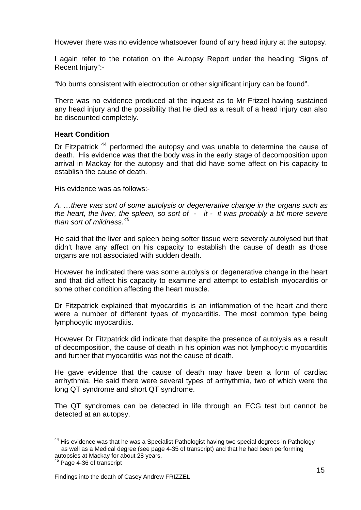However there was no evidence whatsoever found of any head injury at the autopsy.

I again refer to the notation on the Autopsy Report under the heading "Signs of Recent Injury":-

"No burns consistent with electrocution or other significant injury can be found".

There was no evidence produced at the inquest as to Mr Frizzel having sustained any head injury and the possibility that he died as a result of a head injury can also be discounted completely.

## **Heart Condition**

Dr Fitzpatrick<sup>[44](#page-15-0)</sup> performed the autopsy and was unable to determine the cause of death. His evidence was that the body was in the early stage of decomposition upon arrival in Mackay for the autopsy and that did have some affect on his capacity to establish the cause of death.

His evidence was as follows:-

*A. …there was sort of some autolysis or degenerative change in the organs such as the heart, the liver, the spleen, so sort of - it - it was probably a bit more severe than sort of mildness.[45](#page-15-1)*

He said that the liver and spleen being softer tissue were severely autolysed but that didn't have any affect on his capacity to establish the cause of death as those organs are not associated with sudden death.

However he indicated there was some autolysis or degenerative change in the heart and that did affect his capacity to examine and attempt to establish myocarditis or some other condition affecting the heart muscle.

Dr Fitzpatrick explained that myocarditis is an inflammation of the heart and there were a number of different types of myocarditis. The most common type being lymphocytic myocarditis.

However Dr Fitzpatrick did indicate that despite the presence of autolysis as a result of decomposition, the cause of death in his opinion was not lymphocytic myocarditis and further that myocarditis was not the cause of death.

He gave evidence that the cause of death may have been a form of cardiac arrhythmia. He said there were several types of arrhythmia, two of which were the long QT syndrome and short QT syndrome.

The QT syndromes can be detected in life through an ECG test but cannot be detected at an autopsy.

<span id="page-15-0"></span>l <sup>44</sup> His evidence was that he was a Specialist Pathologist having two special degrees in Pathology as well as a Medical degree (see page 4-35 of transcript) and that he had been performing autopsies at Mackay for about 28 years.

<span id="page-15-1"></span><sup>&</sup>lt;sup>45</sup> Page 4-36 of transcript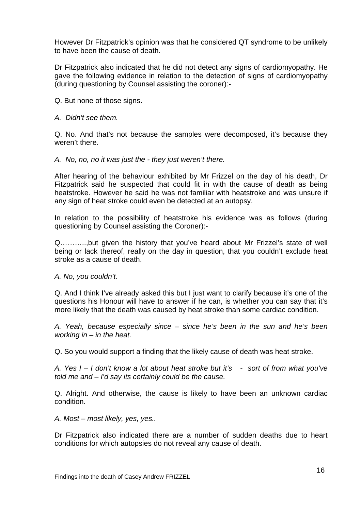However Dr Fitzpatrick's opinion was that he considered QT syndrome to be unlikely to have been the cause of death.

Dr Fitzpatrick also indicated that he did not detect any signs of cardiomyopathy. He gave the following evidence in relation to the detection of signs of cardiomyopathy (during questioning by Counsel assisting the coroner):-

Q. But none of those signs.

#### *A. Didn't see them.*

Q. No. And that's not because the samples were decomposed, it's because they weren't there.

*A. No, no, no it was just the - they just weren't there.* 

After hearing of the behaviour exhibited by Mr Frizzel on the day of his death, Dr Fitzpatrick said he suspected that could fit in with the cause of death as being heatstroke. However he said he was not familiar with heatstroke and was unsure if any sign of heat stroke could even be detected at an autopsy.

In relation to the possibility of heatstroke his evidence was as follows (during questioning by Counsel assisting the Coroner):-

Q………..,but given the history that you've heard about Mr Frizzel's state of well being or lack thereof, really on the day in question, that you couldn't exclude heat stroke as a cause of death.

*A. No, you couldn't.* 

Q. And I think I've already asked this but I just want to clarify because it's one of the questions his Honour will have to answer if he can, is whether you can say that it's more likely that the death was caused by heat stroke than some cardiac condition.

*A. Yeah, because especially since – since he's been in the sun and he's been working in – in the heat.* 

Q. So you would support a finding that the likely cause of death was heat stroke.

*A. Yes I – I don't know a lot about heat stroke but it's - sort of from what you've told me and – I'd say its certainly could be the cause.* 

Q. Alright. And otherwise, the cause is likely to have been an unknown cardiac condition.

*A. Most – most likely, yes, yes..* 

Dr Fitzpatrick also indicated there are a number of sudden deaths due to heart conditions for which autopsies do not reveal any cause of death.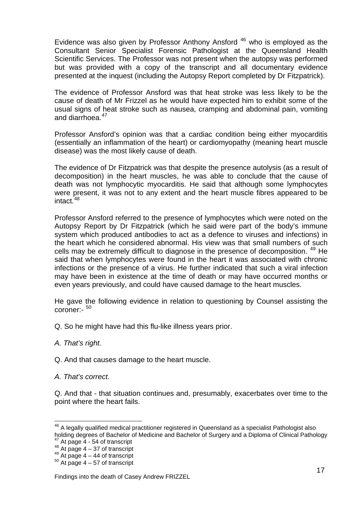Evidence was also given by Professor Anthony Ansford [46](#page-17-0) who is employed as the Consultant Senior Specialist Forensic Pathologist at the Queensland Health Scientific Services. The Professor was not present when the autopsy was performed but was provided with a copy of the transcript and all documentary evidence presented at the inquest (including the Autopsy Report completed by Dr Fitzpatrick).

The evidence of Professor Ansford was that heat stroke was less likely to be the cause of death of Mr Frizzel as he would have expected him to exhibit some of the usual signs of heat stroke such as nausea, cramping and abdominal pain, vomiting and diarrhoea.<sup>[47](#page-17-1)</sup>

Professor Ansford's opinion was that a cardiac condition being either myocarditis (essentially an inflammation of the heart) or cardiomyopathy (meaning heart muscle disease) was the most likely cause of death.

The evidence of Dr Fitzpatrick was that despite the presence autolysis (as a result of decomposition) in the heart muscles, he was able to conclude that the cause of death was not lymphocytic myocarditis. He said that although some lymphocytes were present, it was not to any extent and the heart muscle fibres appeared to be intact $148$  $148$ 

Professor Ansford referred to the presence of lymphocytes which were noted on the Autopsy Report by Dr Fitzpatrick (which he said were part of the body's immune system which produced antibodies to act as a defence to viruses and infections) in the heart which he considered abnormal. His view was that small numbers of such cells may be extremely difficult to diagnose in the presence of decomposition. [49](#page-17-3) He said that when lymphocytes were found in the heart it was associated with chronic infections or the presence of a virus. He further indicated that such a viral infection may have been in existence at the time of death or may have occurred months or even years previously, and could have caused damage to the heart muscles.

He gave the following evidence in relation to questioning by Counsel assisting the coroner:- [50](#page-17-4)

- Q. So he might have had this flu-like illness years prior.
- *A. That's right.*
- Q. And that causes damage to the heart muscle.
- *A. That's correct.*

l

Q. And that - that situation continues and, presumably, exacerbates over time to the point where the heart fails.

<span id="page-17-0"></span> $^{46}$  A legally qualified medical practitioner registered in Queensland as a specialist Pathologist also holding degrees of Bachelor of Medicine and Bachelor of Surgery and a Diploma of Clinical Pathology<br>
<sup>47</sup> At page 4 - 54 of transcript<br>
<sup>48</sup> At page 4 - 37 of transcript<br>
<sup>49</sup> At page 4 - 44 of transcript<br>
<sup>49</sup> At page 4

<span id="page-17-2"></span><span id="page-17-1"></span>

<span id="page-17-4"></span><span id="page-17-3"></span>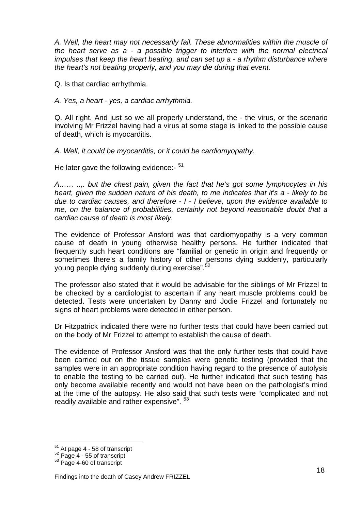*A. Well, the heart may not necessarily fail. These abnormalities within the muscle of the heart serve as a - a possible trigger to interfere with the normal electrical impulses that keep the heart beating, and can set up a - a rhythm disturbance where the heart's not beating properly, and you may die during that event.* 

Q. Is that cardiac arrhythmia.

*A. Yes, a heart - yes, a cardiac arrhythmia.* 

Q. All right. And just so we all properly understand, the - the virus, or the scenario involving Mr Frizzel having had a virus at some stage is linked to the possible cause of death, which is myocarditis.

*A. Well, it could be myocarditis, or it could be cardiomyopathy.* 

He later gave the following evidence:-  $51$ 

*A…… ..,. but the chest pain, given the fact that he's got some lymphocytes in his heart, given the sudden nature of his death, to me indicates that it's a - likely to be due to cardiac causes, and therefore - I - I believe, upon the evidence available to me, on the balance of probabilities, certainly not beyond reasonable doubt that a cardiac cause of death is most likely.* 

The evidence of Professor Ansford was that cardiomyopathy is a very common cause of death in young otherwise healthy persons. He further indicated that frequently such heart conditions are "familial or genetic in origin and frequently or sometimes there's a family history of other persons dying suddenly, particularly young people dying suddenly during exercise".<sup>[52](#page-18-1)</sup>

The professor also stated that it would be advisable for the siblings of Mr Frizzel to be checked by a cardiologist to ascertain if any heart muscle problems could be detected. Tests were undertaken by Danny and Jodie Frizzel and fortunately no signs of heart problems were detected in either person.

Dr Fitzpatrick indicated there were no further tests that could have been carried out on the body of Mr Frizzel to attempt to establish the cause of death.

The evidence of Professor Ansford was that the only further tests that could have been carried out on the tissue samples were genetic testing (provided that the samples were in an appropriate condition having regard to the presence of autolysis to enable the testing to be carried out). He further indicated that such testing has only become available recently and would not have been on the pathologist's mind at the time of the autopsy. He also said that such tests were "complicated and not readily available and rather expensive".  $53$ 

 $51$  At page 4 - 58 of transcript

<span id="page-18-2"></span><span id="page-18-1"></span><span id="page-18-0"></span> $52$  Page 4 - 55 of transcript<br> $53$  Page 4-60 of transcript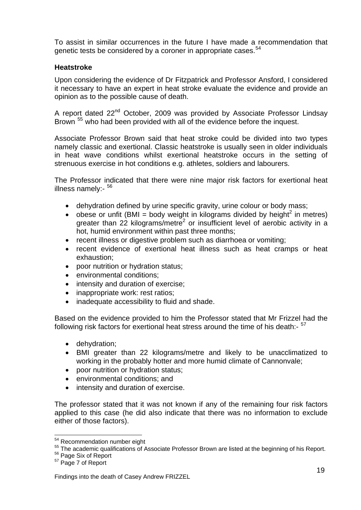To assist in similar occurrences in the future I have made a recommendation that genetic tests be considered by a coroner in appropriate cases.<sup>[54](#page-19-0)</sup>

## **Heatstroke**

Upon considering the evidence of Dr Fitzpatrick and Professor Ansford, I considered it necessary to have an expert in heat stroke evaluate the evidence and provide an opinion as to the possible cause of death.

A report dated 22<sup>nd</sup> October, 2009 was provided by Associate Professor Lindsay Brown <sup>[55](#page-19-1)</sup> who had been provided with all of the evidence before the inquest.

Associate Professor Brown said that heat stroke could be divided into two types namely classic and exertional. Classic heatstroke is usually seen in older individuals in heat wave conditions whilst exertional heatstroke occurs in the setting of strenuous exercise in hot conditions e.g. athletes, soldiers and labourers.

The Professor indicated that there were nine major risk factors for exertional heat illness namely:- [56](#page-19-2)

- dehydration defined by urine specific gravity, urine colour or body mass;
- obese or unfit (BMI = body weight in kilograms divided by height<sup>2</sup> in metres) greater than 22 kilograms/metre<sup>2</sup> or insufficient level of aerobic activity in a hot, humid environment within past three months;
- recent illness or digestive problem such as diarrhoea or vomiting;
- recent evidence of exertional heat illness such as heat cramps or heat exhaustion;
- poor nutrition or hydration status;
- environmental conditions;
- intensity and duration of exercise;
- inappropriate work: rest ratios;
- inadequate accessibility to fluid and shade.

Based on the evidence provided to him the Professor stated that Mr Frizzel had the following risk factors for exertional heat stress around the time of his death:-  $57$ 

- dehydration;
- BMI greater than 22 kilograms/metre and likely to be unacclimatized to working in the probably hotter and more humid climate of Cannonvale;
- poor nutrition or hydration status;
- environmental conditions: and
- intensity and duration of exercise.

The professor stated that it was not known if any of the remaining four risk factors applied to this case (he did also indicate that there was no information to exclude either of those factors).

<span id="page-19-1"></span><span id="page-19-0"></span><sup>&</sup>lt;sup>54</sup> Recommendation number eight<br>  $55$  The academic qualifications of Associate Professor Brown are listed at the beginning of his Report.<br>  $57$  Page Six of Report<br>  $57$  Page 7 of Report

<span id="page-19-3"></span><span id="page-19-2"></span>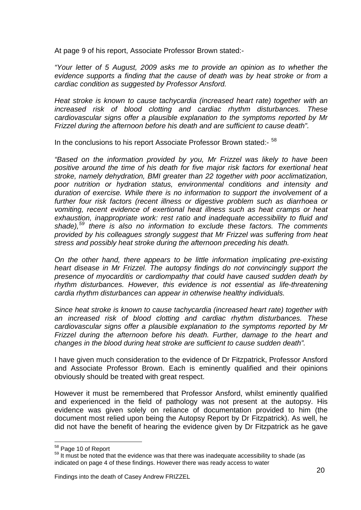At page 9 of his report, Associate Professor Brown stated:-

*"Your letter of 5 August, 2009 asks me to provide an opinion as to whether the evidence supports a finding that the cause of death was by heat stroke or from a cardiac condition as suggested by Professor Ansford.* 

*Heat stroke is known to cause tachycardia (increased heart rate) together with an increased risk of blood clotting and cardiac rhythm disturbances. These cardiovascular signs offer a plausible explanation to the symptoms reported by Mr Frizzel during the afternoon before his death and are sufficient to cause death".* 

In the conclusions to his report Associate Professor Brown stated:-  $58$ 

*"Based on the information provided by you, Mr Frizzel was likely to have been positive around the time of his death for five major risk factors for exertional heat stroke, namely dehydration, BMI greater than 22 together with poor acclimatization, poor nutrition or hydration status, environmental conditions and intensity and duration of exercise. While there is no information to support the involvement of a further four risk factors (recent illness or digestive problem such as diarrhoea or vomiting, recent evidence of exertional heat illness such as heat cramps or heat exhaustion, inappropriate work: rest ratio and inadequate accessibility to fluid and shade),[59](#page-20-1) there is also no information to exclude these factors. The comments provided by his colleagues strongly suggest that Mr Frizzel was suffering from heat stress and possibly heat stroke during the afternoon preceding his death.* 

*On the other hand, there appears to be little information implicating pre-existing heart disease in Mr Frizzel. The autopsy findings do not convincingly support the presence of myocarditis or cardiompathy that could have caused sudden death by rhythm disturbances. However, this evidence is not essential as life-threatening cardia rhythm disturbances can appear in otherwise healthy individuals.* 

*Since heat stroke is known to cause tachycardia (increased heart rate) together with an increased risk of blood clotting and cardiac rhythm disturbances. These cardiovascular signs offer a plausible explanation to the symptoms reported by Mr Frizzel during the afternoon before his death. Further, damage to the heart and changes in the blood during heat stroke are sufficient to cause sudden death".* 

I have given much consideration to the evidence of Dr Fitzpatrick, Professor Ansford and Associate Professor Brown. Each is eminently qualified and their opinions obviously should be treated with great respect.

However it must be remembered that Professor Ansford, whilst eminently qualified and experienced in the field of pathology was not present at the autopsy. His evidence was given solely on reliance of documentation provided to him (the document most relied upon being the Autopsy Report by Dr Fitzpatrick). As well, he did not have the benefit of hearing the evidence given by Dr Fitzpatrick as he gave

<span id="page-20-0"></span><sup>58</sup> Page 10 of Report

<span id="page-20-1"></span><sup>&</sup>lt;sup>59</sup> It must be noted that the evidence was that there was inadequate accessibility to shade (as indicated on page 4 of these findings. However there was ready access to water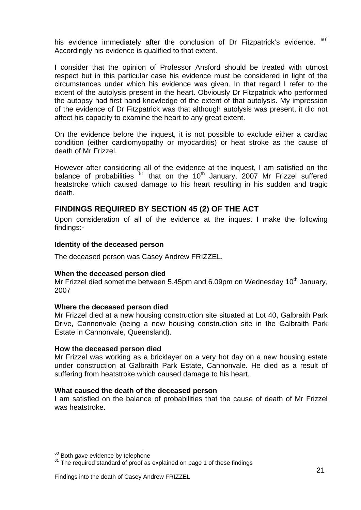his evidence immediately after the conclusion of Dr Fitzpatrick's evidence. <sup>[60](#page-21-0)]</sup> Accordingly his evidence is qualified to that extent.

I consider that the opinion of Professor Ansford should be treated with utmost respect but in this particular case his evidence must be considered in light of the circumstances under which his evidence was given. In that regard I refer to the extent of the autolysis present in the heart. Obviously Dr Fitzpatrick who performed the autopsy had first hand knowledge of the extent of that autolysis. My impression of the evidence of Dr Fitzpatrick was that although autolysis was present, it did not affect his capacity to examine the heart to any great extent.

On the evidence before the inquest, it is not possible to exclude either a cardiac condition (either cardiomyopathy or myocarditis) or heat stroke as the cause of death of Mr Frizzel.

However after considering all of the evidence at the inquest, I am satisfied on the balance of probabilities  $61$  that on the 10<sup>th</sup> January, 2007 Mr Frizzel suffered heatstroke which caused damage to his heart resulting in his sudden and tragic death.

# **FINDINGS REQUIRED BY SECTION 45 (2) OF THE ACT**

Upon consideration of all of the evidence at the inquest I make the following findings:-

#### **Identity of the deceased person**

The deceased person was Casey Andrew FRIZZEL.

## **When the deceased person died**

Mr Frizzel died sometime between 5.45pm and 6.09pm on Wednesday 10<sup>th</sup> January, 2007

#### **Where the deceased person died**

Mr Frizzel died at a new housing construction site situated at Lot 40, Galbraith Park Drive, Cannonvale (being a new housing construction site in the Galbraith Park Estate in Cannonvale, Queensland).

#### **How the deceased person died**

Mr Frizzel was working as a bricklayer on a very hot day on a new housing estate under construction at Galbraith Park Estate, Cannonvale. He died as a result of suffering from heatstroke which caused damage to his heart.

#### **What caused the death of the deceased person**

I am satisfied on the balance of probabilities that the cause of death of Mr Frizzel was heatstroke.

<span id="page-21-0"></span><sup>&</sup>lt;sup>60</sup> Both gave evidence by telephone

<span id="page-21-1"></span> $61$  The required standard of proof as explained on page 1 of these findings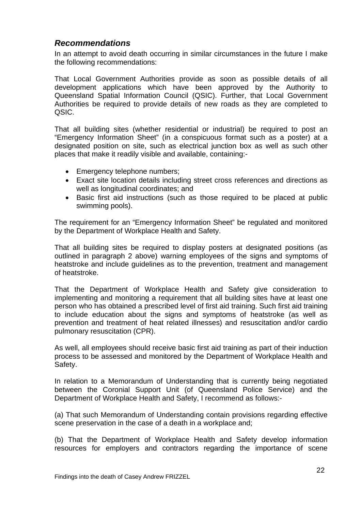# *Recommendations*

In an attempt to avoid death occurring in similar circumstances in the future I make the following recommendations:

That Local Government Authorities provide as soon as possible details of all development applications which have been approved by the Authority to Queensland Spatial Information Council (QSIC). Further, that Local Government Authorities be required to provide details of new roads as they are completed to QSIC.

That all building sites (whether residential or industrial) be required to post an "Emergency Information Sheet" (in a conspicuous format such as a poster) at a designated position on site, such as electrical junction box as well as such other places that make it readily visible and available, containing:-

- Emergency telephone numbers;
- Exact site location details including street cross references and directions as well as longitudinal coordinates; and
- Basic first aid instructions (such as those required to be placed at public swimming pools).

The requirement for an "Emergency Information Sheet" be regulated and monitored by the Department of Workplace Health and Safety.

That all building sites be required to display posters at designated positions (as outlined in paragraph 2 above) warning employees of the signs and symptoms of heatstroke and include guidelines as to the prevention, treatment and management of heatstroke.

That the Department of Workplace Health and Safety give consideration to implementing and monitoring a requirement that all building sites have at least one person who has obtained a prescribed level of first aid training. Such first aid training to include education about the signs and symptoms of heatstroke (as well as prevention and treatment of heat related illnesses) and resuscitation and/or cardio pulmonary resuscitation (CPR).

As well, all employees should receive basic first aid training as part of their induction process to be assessed and monitored by the Department of Workplace Health and Safety.

In relation to a Memorandum of Understanding that is currently being negotiated between the Coronial Support Unit (of Queensland Police Service) and the Department of Workplace Health and Safety, I recommend as follows:-

(a) That such Memorandum of Understanding contain provisions regarding effective scene preservation in the case of a death in a workplace and;

(b) That the Department of Workplace Health and Safety develop information resources for employers and contractors regarding the importance of scene